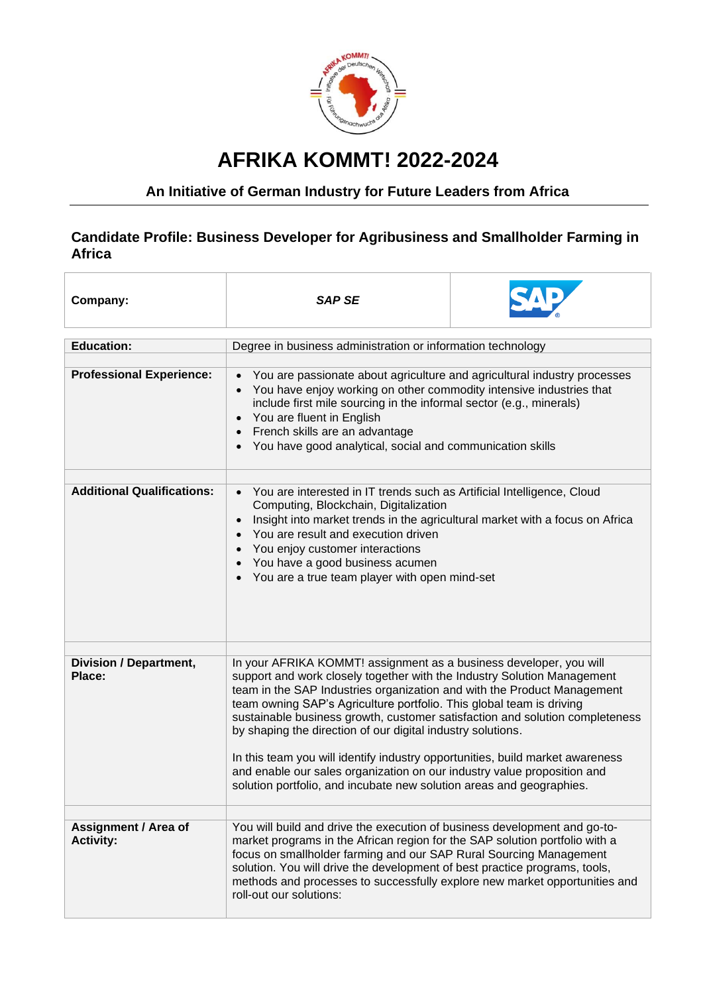

## **AFRIKA KOMMT! 2022-2024**

## **An Initiative of German Industry for Future Leaders from Africa**

## **Candidate Profile: Business Developer for Agribusiness and Smallholder Farming in Africa**

| Company:                                 | <b>SAP SE</b>                                                                                                                                                                                                                                                                                                                                                                                                                                                                                                                                                                                                                                                                       |  |
|------------------------------------------|-------------------------------------------------------------------------------------------------------------------------------------------------------------------------------------------------------------------------------------------------------------------------------------------------------------------------------------------------------------------------------------------------------------------------------------------------------------------------------------------------------------------------------------------------------------------------------------------------------------------------------------------------------------------------------------|--|
| <b>Education:</b>                        | Degree in business administration or information technology                                                                                                                                                                                                                                                                                                                                                                                                                                                                                                                                                                                                                         |  |
|                                          |                                                                                                                                                                                                                                                                                                                                                                                                                                                                                                                                                                                                                                                                                     |  |
| <b>Professional Experience:</b>          | You are passionate about agriculture and agricultural industry processes<br>You have enjoy working on other commodity intensive industries that<br>include first mile sourcing in the informal sector (e.g., minerals)<br>• You are fluent in English<br>• French skills are an advantage<br>• You have good analytical, social and communication skills                                                                                                                                                                                                                                                                                                                            |  |
| <b>Additional Qualifications:</b>        |                                                                                                                                                                                                                                                                                                                                                                                                                                                                                                                                                                                                                                                                                     |  |
|                                          | You are interested in IT trends such as Artificial Intelligence, Cloud<br>Computing, Blockchain, Digitalization<br>Insight into market trends in the agricultural market with a focus on Africa<br>You are result and execution driven<br>You enjoy customer interactions<br>You have a good business acumen<br>You are a true team player with open mind-set                                                                                                                                                                                                                                                                                                                       |  |
|                                          |                                                                                                                                                                                                                                                                                                                                                                                                                                                                                                                                                                                                                                                                                     |  |
| <b>Division / Department,</b><br>Place:  | In your AFRIKA KOMMT! assignment as a business developer, you will<br>support and work closely together with the Industry Solution Management<br>team in the SAP Industries organization and with the Product Management<br>team owning SAP's Agriculture portfolio. This global team is driving<br>sustainable business growth, customer satisfaction and solution completeness<br>by shaping the direction of our digital industry solutions.<br>In this team you will identify industry opportunities, build market awareness<br>and enable our sales organization on our industry value proposition and<br>solution portfolio, and incubate new solution areas and geographies. |  |
|                                          |                                                                                                                                                                                                                                                                                                                                                                                                                                                                                                                                                                                                                                                                                     |  |
| Assignment / Area of<br><b>Activity:</b> | You will build and drive the execution of business development and go-to-<br>market programs in the African region for the SAP solution portfolio with a<br>focus on smallholder farming and our SAP Rural Sourcing Management<br>solution. You will drive the development of best practice programs, tools,<br>methods and processes to successfully explore new market opportunities and<br>roll-out our solutions:                                                                                                                                                                                                                                                               |  |